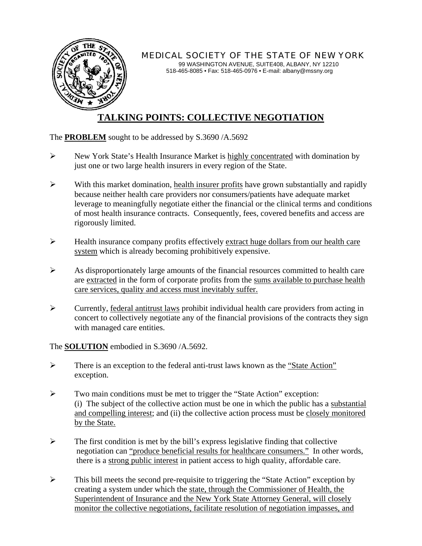

*MEDICAL SOCIETY OF THE STATE OF NEW YORK* 

99 WASHINGTON AVENUE, SUITE408, ALBANY, NY 12210 518-465-8085 • Fax: 518-465-0976 • E-mail: albany@mssny.org

## **TALKING POINTS: COLLECTIVE NEGOTIATION**

## The **PROBLEM** sought to be addressed by S.3690 /A.5692

- ¾ New York State's Health Insurance Market is highly concentrated with domination by just one or two large health insurers in every region of the State.
- $\triangleright$  With this market domination, health insurer profits have grown substantially and rapidly because neither health care providers nor consumers/patients have adequate market leverage to meaningfully negotiate either the financial or the clinical terms and conditions of most health insurance contracts. Consequently, fees, covered benefits and access are rigorously limited.
- $\triangleright$  Health insurance company profits effectively extract huge dollars from our health care system which is already becoming prohibitively expensive.
- $\triangleright$  As disproportionately large amounts of the financial resources committed to health care are extracted in the form of corporate profits from the sums available to purchase health care services, quality and access must inevitably suffer.
- $\triangleright$  Currently, federal antitrust laws prohibit individual health care providers from acting in concert to collectively negotiate any of the financial provisions of the contracts they sign with managed care entities.

The **SOLUTION** embodied in S.3690 /A.5692.

- $\triangleright$  There is an exception to the federal anti-trust laws known as the "State Action" exception.
- ¾ Two main conditions must be met to trigger the "State Action" exception: (i) The subject of the collective action must be one in which the public has a substantial and compelling interest; and (ii) the collective action process must be closely monitored by the State.
- $\triangleright$  The first condition is met by the bill's express legislative finding that collective negotiation can "produce beneficial results for healthcare consumers." In other words, there is a strong public interest in patient access to high quality, affordable care.
- $\triangleright$  This bill meets the second pre-requisite to triggering the "State Action" exception by creating a system under which the state, through the Commissioner of Health, the Superintendent of Insurance and the New York State Attorney General, will closely monitor the collective negotiations, facilitate resolution of negotiation impasses, and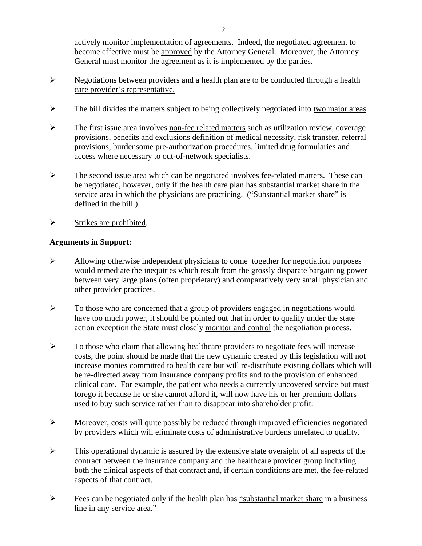2

actively monitor implementation of agreements. Indeed, the negotiated agreement to become effective must be approved by the Attorney General. Moreover, the Attorney General must monitor the agreement as it is implemented by the parties.

- ¾ Negotiations between providers and a health plan are to be conducted through a health care provider's representative.
- $\triangleright$  The bill divides the matters subject to being collectively negotiated into two major areas.
- ¾ The first issue area involves non-fee related matters such as utilization review, coverage provisions, benefits and exclusions definition of medical necessity, risk transfer, referral provisions, burdensome pre-authorization procedures, limited drug formularies and access where necessary to out-of-network specialists.
- ¾ The second issue area which can be negotiated involves fee-related matters. These can be negotiated, however, only if the health care plan has substantial market share in the service area in which the physicians are practicing. ("Substantial market share" is defined in the bill.)
- $\triangleright$  Strikes are prohibited.

## **Arguments in Support:**

- $\triangleright$  Allowing otherwise independent physicians to come together for negotiation purposes would remediate the inequities which result from the grossly disparate bargaining power between very large plans (often proprietary) and comparatively very small physician and other provider practices.
- $\triangleright$  To those who are concerned that a group of providers engaged in negotiations would have too much power, it should be pointed out that in order to qualify under the state action exception the State must closely monitor and control the negotiation process.
- $\triangleright$  To those who claim that allowing healthcare providers to negotiate fees will increase costs, the point should be made that the new dynamic created by this legislation will not increase monies committed to health care but will re-distribute existing dollars which will be re-directed away from insurance company profits and to the provision of enhanced clinical care. For example, the patient who needs a currently uncovered service but must forego it because he or she cannot afford it, will now have his or her premium dollars used to buy such service rather than to disappear into shareholder profit.
- $\triangleright$  Moreover, costs will quite possibly be reduced through improved efficiencies negotiated by providers which will eliminate costs of administrative burdens unrelated to quality.
- ¾ This operational dynamic is assured by the extensive state oversight of all aspects of the contract between the insurance company and the healthcare provider group including both the clinical aspects of that contract and, if certain conditions are met, the fee-related aspects of that contract.
- $\triangleright$  Fees can be negotiated only if the health plan has "substantial market share in a business" line in any service area."